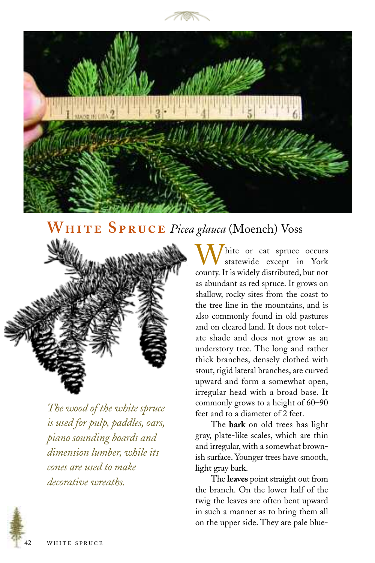



## WHITE SPRUCE Picea glauca (Moench) Voss



*The wood of the white spruce is used for pulp, paddles, oars, piano sounding boards and dimension lumber, while its cones are used to make decorative wreaths.*

hite or cat spruce occurs statewide except in York county. It is widely distributed, but not as abundant as red spruce. It grows on shallow, rocky sites from the coast to the tree line in the mountains, and is also commonly found in old pastures and on cleared land. It does not tolerate shade and does not grow as an understory tree. The long and rather thick branches, densely clothed with stout, rigid lateral branches, are curved upward and form a somewhat open, irregular head with a broad base. It commonly grows to a height of 60–90 feet and to a diameter of 2 feet.

The **bark** on old trees has light gray, plate-like scales, which are thin and irregular, with a somewhat brownish surface. Younger trees have smooth, light gray bark.

The **leaves** point straight out from the branch. On the lower half of the twig the leaves are often bent upward in such a manner as to bring them all on the upper side. They are pale blue-